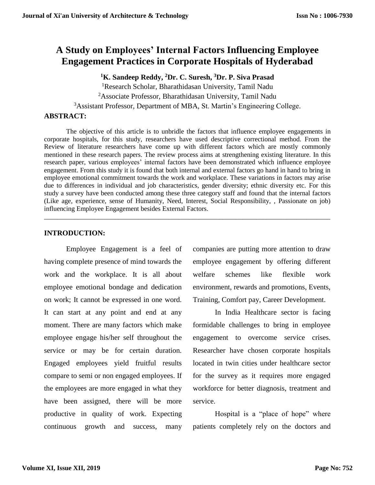# **A Study on Employees' Internal Factors Influencing Employee Engagement Practices in Corporate Hospitals of Hyderabad**

**<sup>1</sup>K. Sandeep Reddy, <sup>2</sup>Dr. C. Suresh, <sup>3</sup>Dr. P. Siva Prasad**

<sup>1</sup>Research Scholar, Bharathidasan University, Tamil Nadu

<sup>2</sup>Associate Professor, Bharathidasan University, Tamil Nadu

<sup>3</sup>Assistant Professor, Department of MBA, St. Martin's Engineering College.

## **ABSTRACT:**

The objective of this article is to unbridle the factors that influence employee engagements in corporate hospitals, for this study, researchers have used descriptive correctional method. From the Review of literature researchers have come up with different factors which are mostly commonly mentioned in these research papers. The review process aims at strengthening existing literature. In this research paper, various employees' internal factors have been demonstrated which influence employee engagement. From this study it is found that both internal and external factors go hand in hand to bring in employee emotional commitment towards the work and workplace. These variations in factors may arise due to differences in individual and job characteristics, gender diversity; ethnic diversity etc. For this study a survey have been conducted among these three category staff and found that the internal factors (Like age, experience, sense of Humanity, Need, Interest, Social Responsibility, , Passionate on job) influencing Employee Engagement besides External Factors.

*\_\_\_\_\_\_\_\_\_\_\_\_\_\_\_\_\_\_\_\_\_\_\_\_\_\_\_\_\_\_\_\_\_\_\_\_\_\_\_\_\_\_\_\_\_\_\_\_\_\_\_\_\_\_\_\_\_\_\_\_\_\_\_\_\_\_\_\_\_\_\_\_\_\_\_\_\_\_\_\_\_\_\_\_\_*

## **INTRODUCTION:**

Employee Engagement is a feel of having complete presence of mind towards the work and the workplace. It is all about employee emotional bondage and dedication on work; It cannot be expressed in one word. It can start at any point and end at any moment. There are many factors which make employee engage his/her self throughout the service or may be for certain duration. Engaged employees yield fruitful results compare to semi or non engaged employees. If the employees are more engaged in what they have been assigned, there will be more productive in quality of work. Expecting continuous growth and success, many companies are putting more attention to draw employee engagement by offering different welfare schemes like flexible work environment, rewards and promotions, Events, Training, Comfort pay, Career Development.

In India Healthcare sector is facing formidable challenges to bring in employee engagement to overcome service crises. Researcher have chosen corporate hospitals located in twin cities under healthcare sector for the survey as it requires more engaged workforce for better diagnosis, treatment and service.

Hospital is a "place of hope" where patients completely rely on the doctors and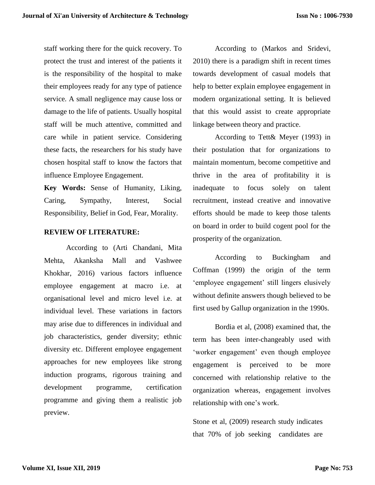staff working there for the quick recovery. To protect the trust and interest of the patients it is the responsibility of the hospital to make their employees ready for any type of patience service. A small negligence may cause loss or damage to the life of patients. Usually hospital staff will be much attentive, committed and care while in patient service. Considering these facts, the researchers for his study have chosen hospital staff to know the factors that influence Employee Engagement.

**Key Words:** Sense of Humanity, Liking, Caring, Sympathy, Interest, Social Responsibility, Belief in God, Fear, Morality.

#### **REVIEW OF LITERATURE:**

According to (Arti Chandani, Mita Mehta, Akanksha Mall and Vashwee Khokhar, 2016) various factors influence employee engagement at macro i.e. at organisational level and micro level i.e. at individual level. These variations in factors may arise due to differences in individual and job characteristics, gender diversity; ethnic diversity etc. Different employee engagement approaches for new employees like strong induction programs, rigorous training and development programme, certification programme and giving them a realistic job preview.

According to (Markos and Sridevi, 2010) there is a paradigm shift in recent times towards development of casual models that help to better explain employee engagement in modern organizational setting. It is believed that this would assist to create appropriate linkage between theory and practice.

According to Tett& Meyer (1993) in their postulation that for organizations to maintain momentum, become competitive and thrive in the area of profitability it is inadequate to focus solely on talent recruitment, instead creative and innovative efforts should be made to keep those talents on board in order to build cogent pool for the prosperity of the organization.

According to Buckingham and Coffman (1999) the origin of the term 'employee engagement' still lingers elusively without definite answers though believed to be first used by Gallup organization in the 1990s.

Bordia et al, (2008) examined that, the term has been inter-changeably used with 'worker engagement' even though employee engagement is perceived to be more concerned with relationship relative to the organization whereas, engagement involves relationship with one's work.

Stone et al, (2009) research study indicates that 70% of job seeking candidates are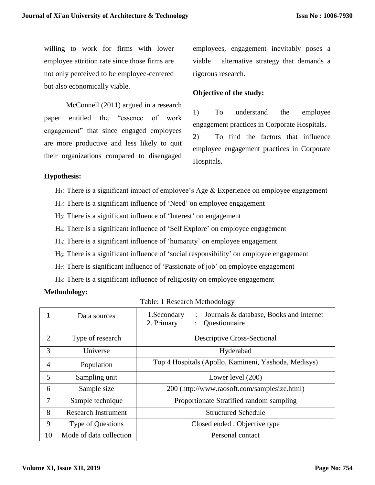willing to work for firms with lower employee attrition rate since those firms are not only perceived to be employee-centered but also economically viable.

McConnell (2011) argued in a research paper entitled the "essence of work engagement" that since engaged employees are more productive and less likely to quit their organizations compared to disengaged employees, engagement inevitably poses a viable alternative strategy that demands a rigorous research.

## **Objective of the study:**

1) To understand the employee engagement practices in Corporate Hospitals. 2) To find the factors that influence employee engagement practices in Corporate Hospitals.

#### **Hypothesis:**

- $H_1$ : There is a significant impact of employee's Age & Experience on employee engagement
- H2: There is a significant influence of 'Need' on employee engagement
- H3: There is a significant influence of 'Interest' on engagement
- H4: There is a significant influence of 'Self Explore' on employee engagement
- H5: There is a significant influence of 'humanity' on employee engagement
- H6: There is a significant influence of 'social responsibility' on employee engagement
- H7: There is significant influence of 'Passionate of job' on employee engagement
- H8: There is a significant influence of religiosity on employee engagement

#### **Methodology:**

|                | Data sources               | 1.Secondary<br>Journals & database, Books and Internet<br>2. Primary<br>Questionnaire |  |  |  |  |  |
|----------------|----------------------------|---------------------------------------------------------------------------------------|--|--|--|--|--|
| $\overline{2}$ | Type of research           | <b>Descriptive Cross-Sectional</b>                                                    |  |  |  |  |  |
| 3              | Universe                   | Hyderabad                                                                             |  |  |  |  |  |
| 4              | Population                 | Top 4 Hospitals (Apollo, Kamineni, Yashoda, Medisys)                                  |  |  |  |  |  |
| 5              | Sampling unit              | Lower level (200)                                                                     |  |  |  |  |  |
| 6              | Sample size                | 200 (http://www.raosoft.com/samplesize.html)                                          |  |  |  |  |  |
| 7              | Sample technique           | Proportionate Stratified random sampling                                              |  |  |  |  |  |
| 8              | <b>Research Instrument</b> | <b>Structured Schedule</b>                                                            |  |  |  |  |  |
| 9              | <b>Type of Questions</b>   | Closed ended, Objective type                                                          |  |  |  |  |  |
| 10             | Mode of data collection    | Personal contact                                                                      |  |  |  |  |  |

#### Table: 1 Research Methodology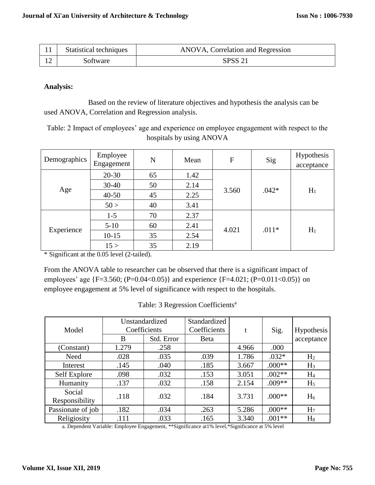| Statistical techniques | ANOVA, Correlation and Regression |  |  |
|------------------------|-----------------------------------|--|--|
| Software               | <b>SPSS 21</b>                    |  |  |

### **Analysis:**

Based on the review of literature objectives and hypothesis the analysis can be used ANOVA, Correlation and Regression analysis.

Table: 2 Impact of employees' age and experience on employee engagement with respect to the hospitals by using ANOVA

| Demographics | Employee<br>Engagement | N  | Mean | $\boldsymbol{F}$ | Sig     | Hypothesis<br>acceptance |
|--------------|------------------------|----|------|------------------|---------|--------------------------|
|              | $20 - 30$              | 65 | 1.42 | 3.560            | $.042*$ | $H_1$                    |
|              | $30 - 40$              | 50 | 2.14 |                  |         |                          |
| Age          | $40 - 50$              | 45 | 2.25 |                  |         |                          |
|              | 50 >                   | 40 | 3.41 |                  |         |                          |
|              | $1-5$                  | 70 | 2.37 |                  | $.011*$ | $H_1$                    |
| Experience   | $5-10$                 | 60 | 2.41 | 4.021            |         |                          |
|              | $10 - 15$              | 35 | 2.54 |                  |         |                          |
|              | 15 >                   | 35 | 2.19 |                  |         |                          |

\* Significant at the 0.05 level (2-tailed).

From the ANOVA table to researcher can be observed that there is a significant impact of employees' age {F=3.560; (P=0.04<0.05)} and experience {F=4.021; (P=0.011<0.05)} on employee engagement at 5% level of significance with respect to the hospitals.

| Model                    | Unstandardized<br>Coefficients |            | Standardized<br>Coefficients | t     | Sig.     | Hypothesis     |
|--------------------------|--------------------------------|------------|------------------------------|-------|----------|----------------|
|                          | B                              | Std. Error | <b>B</b> eta                 |       |          | acceptance     |
| (Constant)               | 1.279                          | .258       |                              | 4.966 | .000     |                |
| Need                     | .028                           | .035       | .039                         | 1.786 | $.032*$  | H <sub>2</sub> |
| Interest                 | .145                           | .040       | .185                         | 3.667 | $.000**$ | $H_3$          |
| Self Explore             | .098                           | .032       | .153                         | 3.051 | $.002**$ | H <sub>4</sub> |
| Humanity                 | .137                           | .032       | .158                         | 2.154 | $.009**$ | H <sub>5</sub> |
| Social<br>Responsibility | .118                           | .032       | .184                         | 3.731 | $.000**$ | $H_6$          |
| Passionate of job        | .182                           | .034       | .263                         | 5.286 | $.000**$ | H <sub>7</sub> |
| Religiosity              | .111                           | .033       | .165                         | 3.340 | $.001**$ | $H_8$          |

Table: 3 Regression Coefficients<sup>a</sup>

a. Dependent Variable: Employee Engagement, \*\*Significance at1% level,\*Significance at 5% level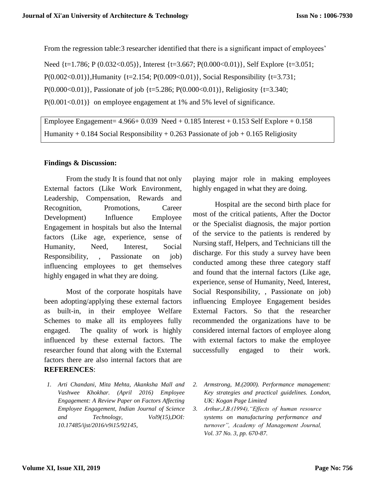From the regression table:3 researcher identified that there is a significant impact of employees'

Need {t=1.786; P (0.032<0.05)}, Interest {t=3.667; P(0.000<0.01)}, Self Explore {t=3.051; P(0.002<0.01)},Humanity {t=2.154; P(0.009<0.01)}, Social Responsibility {t=3.731; P(0.000<0.01)}, Passionate of job  $\{t=5.286; P(0.000<0.01)\}$ , Religiosity  $\{t=3.340;$  $P(0.001\le 0.01)$ } on employee engagement at 1% and 5% level of significance.

Employee Engagement=  $4.966+0.039$  Need  $+0.185$  Interest  $+0.153$  Self Explore  $+0.158$ Humanity + 0.184 Social Responsibility + 0.263 Passionate of job + 0.165 Religiosity

## **Findings & Discussion:**

From the study It is found that not only External factors (Like Work Environment, Leadership, Compensation, Rewards and Recognition, Promotions, Career Development) Influence Employee Engagement in hospitals but also the Internal factors (Like age, experience, sense of Humanity, Need, Interest, Social Responsibility, , Passionate on job) influencing employees to get themselves highly engaged in what they are doing.

Most of the corporate hospitals have been adopting/applying these external factors as built-in, in their employee Welfare Schemes to make all its employees fully engaged. The quality of work is highly influenced by these external factors. The researcher found that along with the External factors there are also internal factors that are **REFERENCES**:

*1. Arti Chandani, Mita Mehta, Akanksha Mall and Vashwee Khokhar. (April 2016) Employee Engagement: A Review Paper on Factors Affecting Employee Engagement, Indian Journal of Science and Technology, Vol9(15),DOI: 10.17485/ijst/2016/v9i15/92145,* 

playing major role in making employees highly engaged in what they are doing.

Hospital are the second birth place for most of the critical patients, After the Doctor or the Specialist diagnosis, the major portion of the service to the patients is rendered by Nursing staff, Helpers, and Technicians till the discharge. For this study a survey have been conducted among these three category staff and found that the internal factors (Like age, experience, sense of Humanity, Need, Interest, Social Responsibility, , Passionate on job) influencing Employee Engagement besides External Factors. So that the researcher recommended the organizations have to be considered internal factors of employee along with external factors to make the employee successfully engaged to their work.

- *2. Armstrong, M.(2000). Performance management: Key strategies and practical guidelines. London, UK: Kogan Page Limited*
- *3. Arthur,J.B.(1994),"Effects of human resource systems on manufacturing performance and turnover", Academy of Management Journal, Vol. 37 No. 3, pp. 670-87.*